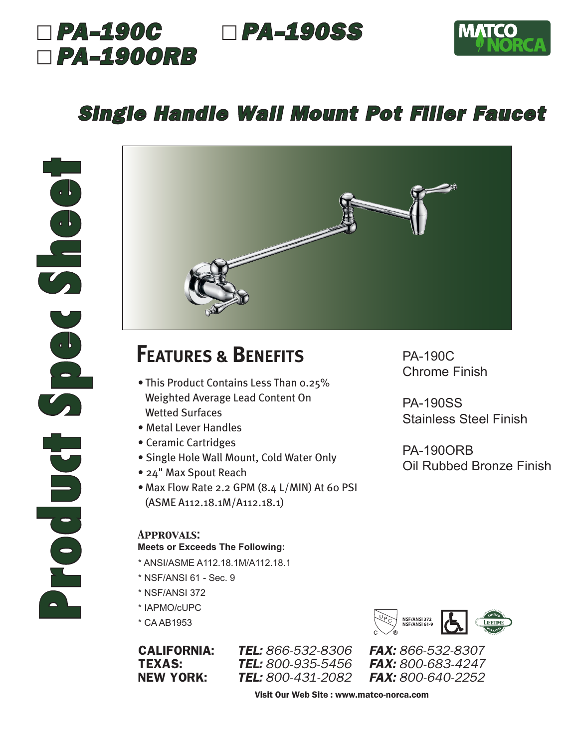## *PA-190C PA-190SS PA-190ORB*



### *Single Handle Wall Mount Pot Filler Faucet*



## **FEATURES & BENEFITS**

- This Product Contains Less Than 0.25% Weighted Average Lead Content On Wetted Surfaces
- Metal Lever Handles
- Ceramic Cartridges
- Single Hole Wall Mount, Cold Water Only
- 24" Max Spout Reach
- Max Flow Rate 2.2 GPM (8.4 L/MIN) At 60 PSI (ASME A112.18.1M/A112.18.1)

#### *Approvals:*

#### **Meets or Exceeds The Following:**

- \* ANSI/ASME A112.18.1M/A112.18.1
- \* NSF/ANSI 61 Sec. 9
- \* NSF/ANSI 372
- \* IAPMO/cUPC
- \* CA AB1953

CALIFORNIA: *TEL: 866-532-8306 FAX: 866-532-8307* **TEXAS:** *TEL:* 800-935-5456 NEW YORK: *TEL: 800-431-2082 FAX: 800-640-2252*

PA-190C Chrome Finish

PA-190SS Stainless Steel Finish

PA-190ORB Oil Rubbed Bronze Finish



Visit Our Web Site : www.matco-norca.com